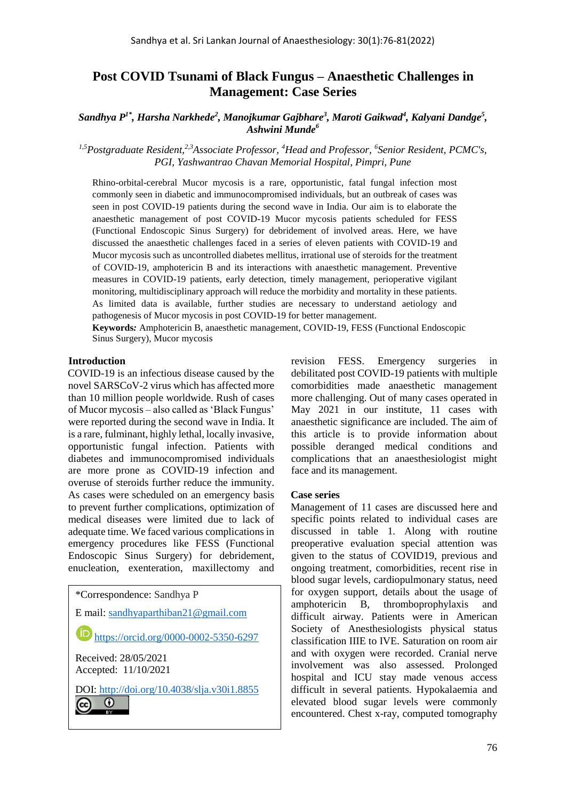# **Post COVID Tsunami of Black Fungus – Anaesthetic Challenges in Management: Case Series**

 $S$ andhya  $P^{1*}$ , Harsha Narkhede<sup>2</sup>, Manojkumar Gajbhare<sup>3</sup>, Maroti Gaikwad<sup>4</sup>, Kalyani Dandge<sup>5</sup>, *Ashwini Munde<sup>6</sup>*

*1,5Postgraduate Resident,2,3Associate Professor, <sup>4</sup>Head and Professor, <sup>6</sup> Senior Resident, PCMC's, PGI, Yashwantrao Chavan Memorial Hospital, Pimpri, Pune*

Rhino-orbital-cerebral Mucor mycosis is a rare, opportunistic, fatal fungal infection most commonly seen in diabetic and immunocompromised individuals, but an outbreak of cases was seen in post COVID-19 patients during the second wave in India. Our aim is to elaborate the anaesthetic management of post COVID-19 Mucor mycosis patients scheduled for FESS (Functional Endoscopic Sinus Surgery) for debridement of involved areas. Here, we have discussed the anaesthetic challenges faced in a series of eleven patients with COVID-19 and Mucor mycosis such as uncontrolled diabetes mellitus, irrational use of steroids for the treatment of COVID-19, amphotericin B and its interactions with anaesthetic management. Preventive measures in COVID-19 patients, early detection, timely management, perioperative vigilant monitoring, multidisciplinary approach will reduce the morbidity and mortality in these patients. As limited data is available, further studies are necessary to understand aetiology and pathogenesis of Mucor mycosis in post COVID-19 for better management.

**Keywords***:* Amphotericin B, anaesthetic management, COVID-19, FESS (Functional Endoscopic Sinus Surgery), Mucor mycosis

#### **Introduction**

COVID-19 is an infectious disease caused by the novel SARSCoV-2 virus which has affected more than 10 million people worldwide. Rush of cases of Mucor mycosis – also called as 'Black Fungus' were reported during the second wave in India. It is a rare, fulminant, highly lethal, locally invasive, opportunistic fungal infection. Patients with diabetes and immunocompromised individuals are more prone as COVID-19 infection and overuse of steroids further reduce the immunity. As cases were scheduled on an emergency basis to prevent further complications, optimization of medical diseases were limited due to lack of adequate time. We faced various complications in emergency procedures like FESS (Functional Endoscopic Sinus Surgery) for debridement, enucleation, exenteration, maxillectomy and

| *Correspondence: Sandhya P                     |
|------------------------------------------------|
| E mail: sandhyaparthiban21@gmail.com           |
| https://orcid.org/0000-0002-5350-6297          |
| Received: $28/05/2021$<br>Accepted: 11/10/2021 |
| DOI: http://doi.org/10.4038/slja.v30i1.8855    |

revision FESS. Emergency surgeries in debilitated post COVID-19 patients with multiple comorbidities made anaesthetic management more challenging. Out of many cases operated in May 2021 in our institute, 11 cases with anaesthetic significance are included. The aim of this article is to provide information about possible deranged medical conditions and complications that an anaesthesiologist might face and its management.

#### **Case series**

Management of 11 cases are discussed here and specific points related to individual cases are discussed in table 1. Along with routine preoperative evaluation special attention was given to the status of COVID19, previous and ongoing treatment, comorbidities, recent rise in blood sugar levels, cardiopulmonary status, need for oxygen support, details about the usage of amphotericin B, thromboprophylaxis and difficult airway. Patients were in American Society of Anesthesiologists physical status classification IIIE to IVE. Saturation on room air and with oxygen were recorded. Cranial nerve involvement was also assessed. Prolonged hospital and ICU stay made venous access difficult in several patients. Hypokalaemia and elevated blood sugar levels were commonly encountered. Chest x-ray, computed tomography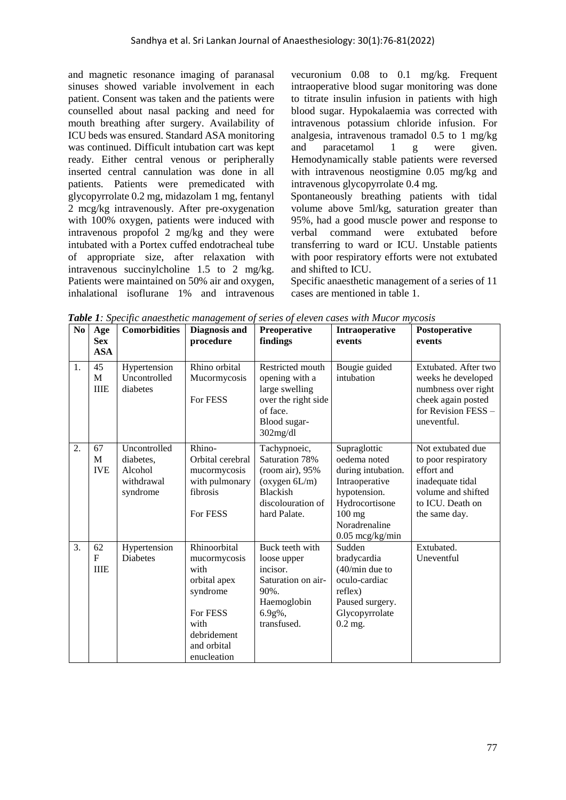and magnetic resonance imaging of paranasal sinuses showed variable involvement in each patient. Consent was taken and the patients were counselled about nasal packing and need for mouth breathing after surgery. Availability of ICU beds was ensured. Standard ASA monitoring was continued. Difficult intubation cart was kept ready. Either central venous or peripherally inserted central cannulation was done in all patients. Patients were premedicated with glycopyrrolate 0.2 mg, midazolam 1 mg, fentanyl 2 mcg/kg intravenously. After pre-oxygenation with 100% oxygen, patients were induced with intravenous propofol 2 mg/kg and they were intubated with a Portex cuffed endotracheal tube of appropriate size, after relaxation with intravenous succinylcholine 1.5 to 2 mg/kg. Patients were maintained on 50% air and oxygen, inhalational isoflurane 1% and intravenous

vecuronium 0.08 to 0.1 mg/kg. Frequent intraoperative blood sugar monitoring was done to titrate insulin infusion in patients with high blood sugar. Hypokalaemia was corrected with intravenous potassium chloride infusion. For analgesia, intravenous tramadol 0.5 to 1 mg/kg and paracetamol 1 g were given. Hemodynamically stable patients were reversed with intravenous neostigmine 0.05 mg/kg and intravenous glycopyrrolate 0.4 mg.

Spontaneously breathing patients with tidal volume above 5ml/kg, saturation greater than 95%, had a good muscle power and response to verbal command were extubated before transferring to ward or ICU. Unstable patients with poor respiratory efforts were not extubated and shifted to ICU.

Specific anaesthetic management of a series of 11 cases are mentioned in table 1.

| N <sub>0</sub> | Age<br><b>Sex</b><br><b>ASA</b>   | <b>Comorbidities</b>                                           | Diagnosis and<br>procedure                                                                                                        | Preoperative<br>findings                                                                                                   | Intraoperative<br>events                                                                                                                                 | Postoperative<br>events                                                                                                               |
|----------------|-----------------------------------|----------------------------------------------------------------|-----------------------------------------------------------------------------------------------------------------------------------|----------------------------------------------------------------------------------------------------------------------------|----------------------------------------------------------------------------------------------------------------------------------------------------------|---------------------------------------------------------------------------------------------------------------------------------------|
| 1.             | 45<br>M<br><b>IIIE</b>            | Hypertension<br>Uncontrolled<br>diabetes                       | Rhino orbital<br>Mucormycosis<br>For FESS                                                                                         | Restricted mouth<br>opening with a<br>large swelling<br>over the right side<br>of face.<br>Blood sugar-<br>302mg/dl        | Bougie guided<br>intubation                                                                                                                              | Extubated. After two<br>weeks he developed<br>numbness over right<br>cheek again posted<br>for Revision FESS -<br>uneventful.         |
| 2.             | 67<br>M<br><b>IVE</b>             | Uncontrolled<br>diabetes,<br>Alcohol<br>withdrawal<br>syndrome | Rhino-<br>Orbital cerebral<br>mucormycosis<br>with pulmonary<br>fibrosis<br>For FESS                                              | Tachypnoeic,<br>Saturation 78%<br>(room air), 95%<br>(oxygen 6L/m)<br><b>Blackish</b><br>discolouration of<br>hard Palate. | Supraglottic<br>oedema noted<br>during intubation.<br>Intraoperative<br>hypotension.<br>Hydrocortisone<br>$100$ mg<br>Noradrenaline<br>$0.05$ mcg/kg/min | Not extubated due<br>to poor respiratory<br>effort and<br>inadequate tidal<br>volume and shifted<br>to ICU. Death on<br>the same day. |
| 3.             | 62<br>$\mathbf{F}$<br><b>IIIE</b> | Hypertension<br>Diabetes                                       | Rhinoorbital<br>mucormycosis<br>with<br>orbital apex<br>syndrome<br>For FESS<br>with<br>debridement<br>and orbital<br>enucleation | Buck teeth with<br>loose upper<br>incisor.<br>Saturation on air-<br>$90\%$ .<br>Haemoglobin<br>6.9g%,<br>transfused.       | Sudden<br>bradycardia<br>$(40/min)$ due to<br>oculo-cardiac<br>reflex)<br>Paused surgery.<br>Glycopyrrolate<br>$0.2$ mg.                                 | Extubated.<br>Uneventful                                                                                                              |

*Table 1: Specific anaesthetic management of series of eleven cases with Mucor mycosis*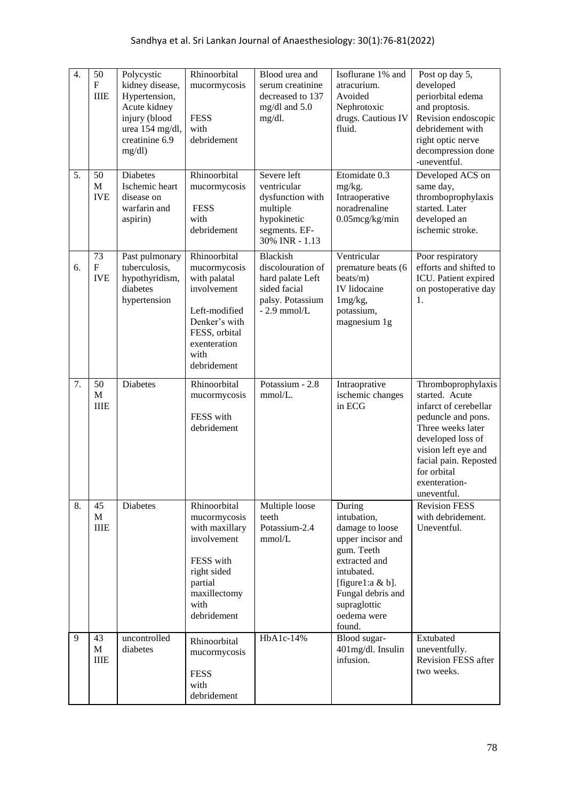| 4. | 50<br>$\mathbf{F}$<br><b>IIIE</b> | Polycystic<br>kidney disease,<br>Hypertension,<br>Acute kidney<br>injury (blood<br>urea 154 mg/dl,<br>creatinine 6.9<br>mg/dl | Rhinoorbital<br>mucormycosis<br><b>FESS</b><br>with<br>debridement                                                                                    | Blood urea and<br>serum creatinine<br>decreased to 137<br>mg/dl and 5.0<br>mg/dl.                            | Isoflurane 1% and<br>atracurium.<br>Avoided<br>Nephrotoxic<br>drugs. Cautious IV<br>fluid.                                                                                                   | Post op day $\overline{5}$ ,<br>developed<br>periorbital edema<br>and proptosis.<br>Revision endoscopic<br>debridement with<br>right optic nerve<br>decompression done<br>-uneventful.                                       |
|----|-----------------------------------|-------------------------------------------------------------------------------------------------------------------------------|-------------------------------------------------------------------------------------------------------------------------------------------------------|--------------------------------------------------------------------------------------------------------------|----------------------------------------------------------------------------------------------------------------------------------------------------------------------------------------------|------------------------------------------------------------------------------------------------------------------------------------------------------------------------------------------------------------------------------|
| 5. | 50<br>M<br><b>IVE</b>             | <b>Diabetes</b><br>Ischemic heart<br>disease on<br>warfarin and<br>aspirin)                                                   | Rhinoorbital<br>mucormycosis<br><b>FESS</b><br>with<br>debridement                                                                                    | Severe left<br>ventricular<br>dysfunction with<br>multiple<br>hypokinetic<br>segments. EF-<br>30% INR - 1.13 | Etomidate 0.3<br>mg/kg.<br>Intraoperative<br>noradrenaline<br>$0.05$ mcg/kg/min                                                                                                              | Developed ACS on<br>same day,<br>thromboprophylaxis<br>started. Later<br>developed an<br>ischemic stroke.                                                                                                                    |
| 6. | 73<br>$\mathbf F$<br><b>IVE</b>   | Past pulmonary<br>tuberculosis,<br>hypothyridism,<br>diabetes<br>hypertension                                                 | Rhinoorbital<br>mucormycosis<br>with palatal<br>involvement<br>Left-modified<br>Denker's with<br>FESS, orbital<br>exenteration<br>with<br>debridement | Blackish<br>discolouration of<br>hard palate Left<br>sided facial<br>palsy. Potassium<br>$-2.9$ mmol/L       | Ventricular<br>premature beats (6<br>beats/m)<br>IV lidocaine<br>$1mg/kg$ ,<br>potassium,<br>magnesium 1g                                                                                    | Poor respiratory<br>efforts and shifted to<br>ICU. Patient expired<br>on postoperative day<br>1.                                                                                                                             |
| 7. | 50<br>$\mathbf M$<br><b>IIIE</b>  | <b>Diabetes</b>                                                                                                               | Rhinoorbital<br>mucormycosis<br>FESS with<br>debridement                                                                                              | Potassium - 2.8<br>mmol/L.                                                                                   | Intraoprative<br>ischemic changes<br>in ECG                                                                                                                                                  | Thromboprophylaxis<br>started. Acute<br>infarct of cerebellar<br>peduncle and pons.<br>Three weeks later<br>developed loss of<br>vision left eye and<br>facial pain. Reposted<br>for orbital<br>exenteration-<br>uneventful. |
| 8. | 45<br>$\mathbf{M}$<br><b>IIIE</b> | Diabetes                                                                                                                      | Rhinoorbital<br>mucormycosis<br>with maxillary<br>involvement<br>FESS with<br>right sided<br>partial<br>maxillectomy<br>with<br>debridement           | Multiple loose<br>teeth<br>Potassium-2.4<br>mmol/L                                                           | During<br>intubation,<br>damage to loose<br>upper incisor and<br>gum. Teeth<br>extracted and<br>intubated.<br>[figure1:a & b].<br>Fungal debris and<br>supraglottic<br>oedema were<br>found. | <b>Revision FESS</b><br>with debridement.<br>Uneventful.                                                                                                                                                                     |
| 9  | 43<br>M<br><b>IIIE</b>            | uncontrolled<br>diabetes                                                                                                      | Rhinoorbital<br>mucormycosis<br><b>FESS</b><br>with<br>debridement                                                                                    | HbA1c-14%                                                                                                    | Blood sugar-<br>401mg/dl. Insulin<br>infusion.                                                                                                                                               | Extubated<br>uneventfully.<br>Revision FESS after<br>two weeks.                                                                                                                                                              |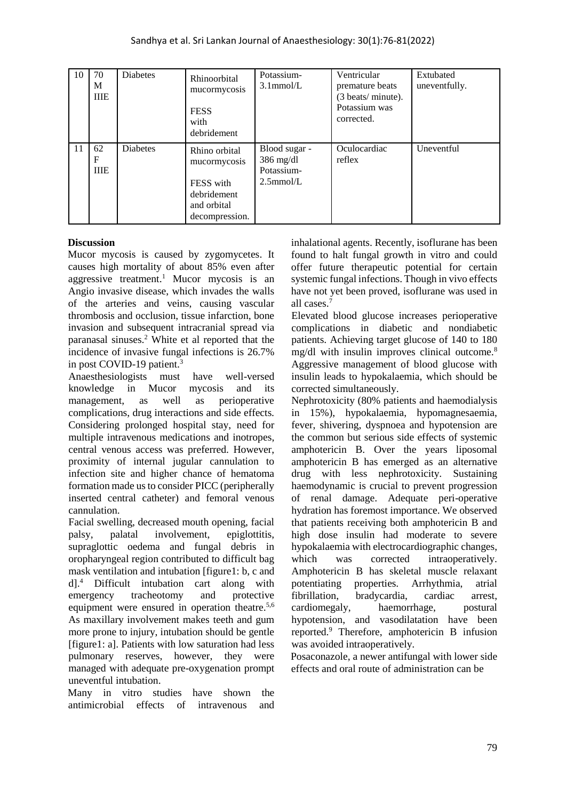| 10 | 70<br>M<br><b>IIIE</b> | Diabetes        | Rhinoorbital<br>mucormycosis<br><b>FESS</b><br>with<br>debridement                         | Potassium-<br>$3.1$ mmol/L                                 | Ventricular<br>premature beats<br>(3 beats/ minute).<br>Potassium was<br>corrected. | Extubated<br>uneventfully. |
|----|------------------------|-----------------|--------------------------------------------------------------------------------------------|------------------------------------------------------------|-------------------------------------------------------------------------------------|----------------------------|
| 11 | 62<br>F<br><b>IIIE</b> | <b>Diabetes</b> | Rhino orbital<br>mucormycosis<br>FESS with<br>debridement<br>and orbital<br>decompression. | Blood sugar -<br>$386$ mg/dl<br>Potassium-<br>$2.5$ mmol/L | Oculocardiac<br>reflex                                                              | Uneventful                 |

### **Discussion**

Mucor mycosis is caused by zygomycetes. It causes high mortality of about 85% even after aggressive treatment.<sup>1</sup> Mucor mycosis is an Angio invasive disease, which invades the walls of the arteries and veins, causing vascular thrombosis and occlusion, tissue infarction, bone invasion and subsequent intracranial spread via paranasal sinuses.<sup>2</sup> White et al reported that the incidence of invasive fungal infections is 26.7% in post COVID-19 patient.<sup>3</sup>

Anaesthesiologists must have well-versed knowledge in Mucor mycosis and its management, as well as perioperative complications, drug interactions and side effects. Considering prolonged hospital stay, need for multiple intravenous medications and inotropes, central venous access was preferred. However, proximity of internal jugular cannulation to infection site and higher chance of hematoma formation made us to consider PICC (peripherally inserted central catheter) and femoral venous cannulation.

Facial swelling, decreased mouth opening, facial palsy, palatal involvement, epiglottitis, supraglottic oedema and fungal debris in oropharyngeal region contributed to difficult bag mask ventilation and intubation [figure1: b, c and d].<sup>4</sup> Difficult intubation cart along with emergency tracheotomy and protective equipment were ensured in operation theatre.<sup>5,6</sup> As maxillary involvement makes teeth and gum more prone to injury, intubation should be gentle [figure1: a]. Patients with low saturation had less pulmonary reserves, however, they were managed with adequate pre-oxygenation prompt uneventful intubation.

Many in vitro studies have shown the antimicrobial effects of intravenous and

inhalational agents. Recently, isoflurane has been found to halt fungal growth in vitro and could offer future therapeutic potential for certain systemic fungal infections. Though in vivo effects have not yet been proved, isoflurane was used in all cases.<sup>7</sup>

Elevated blood glucose increases perioperative complications in diabetic and nondiabetic patients. Achieving target glucose of 140 to 180 mg/dl with insulin improves clinical outcome.<sup>8</sup> Aggressive management of blood glucose with insulin leads to hypokalaemia, which should be corrected simultaneously.

Nephrotoxicity (80% patients and haemodialysis in 15%), hypokalaemia, hypomagnesaemia, fever, shivering, dyspnoea and hypotension are the common but serious side effects of systemic amphotericin B. Over the years liposomal amphotericin B has emerged as an alternative drug with less nephrotoxicity. Sustaining haemodynamic is crucial to prevent progression of renal damage. Adequate peri-operative hydration has foremost importance. We observed that patients receiving both amphotericin B and high dose insulin had moderate to severe hypokalaemia with electrocardiographic changes, which was corrected intraoperatively. Amphotericin B has skeletal muscle relaxant potentiating properties. Arrhythmia, atrial fibrillation, bradycardia, cardiac arrest, cardiomegaly, haemorrhage, postural hypotension, and vasodilatation have been reported.<sup>9</sup> Therefore, amphotericin B infusion was avoided intraoperatively.

Posaconazole, a newer antifungal with lower side effects and oral route of administration can be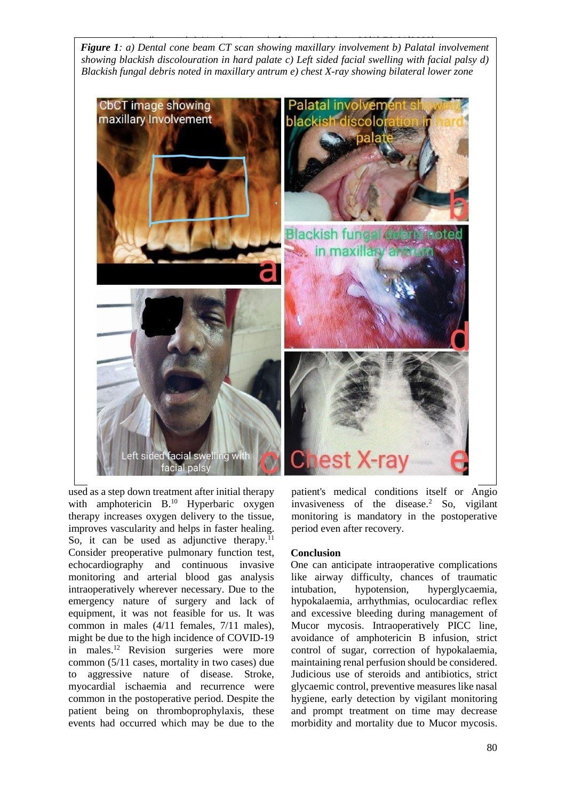**Figure 1***: a)* Dental cone beam CT scan showing maxillary involvement b) Palatal involvement *showing blackish discolouration in hard palate c) Left sided facial swelling with facial palsy d) Blackish fungal debris noted in maxillary antrum e) chest X-ray showing bilateral lower zone*



used as a step down treatment after initial therapy with amphotericin B.<sup>10</sup> Hyperbaric oxygen therapy increases oxygen delivery to the tissue, improves vascularity and helps in faster healing. So, it can be used as adjunctive therapy. $^{11}$ Consider preoperative pulmonary function test, echocardiography and continuous invasive monitoring and arterial blood gas analysis intraoperatively wherever necessary. Due to the emergency nature of surgery and lack of equipment, it was not feasible for us. It was common in males (4/11 females, 7/11 males), might be due to the high incidence of COVID-19 in males.<sup>12</sup> Revision surgeries were more common (5/11 cases, mortality in two cases) due to aggressive nature of disease. Stroke, myocardial ischaemia and recurrence were common in the postoperative period. Despite the patient being on thromboprophylaxis, these events had occurred which may be due to the

patient's medical conditions itself or Angio invasiveness of the disease.<sup>2</sup> So, vigilant monitoring is mandatory in the postoperative period even after recovery.

### **Conclusion**

One can anticipate intraoperative complications like airway difficulty, chances of traumatic intubation, hypotension, hyperglycaemia, hypokalaemia, arrhythmias, oculocardiac reflex and excessive bleeding during management of Mucor mycosis. Intraoperatively PICC line, avoidance of amphotericin B infusion, strict control of sugar, correction of hypokalaemia, maintaining renal perfusion should be considered. Judicious use of steroids and antibiotics, strict glycaemic control, preventive measures like nasal hygiene, early detection by vigilant monitoring and prompt treatment on time may decrease morbidity and mortality due to Mucor mycosis.